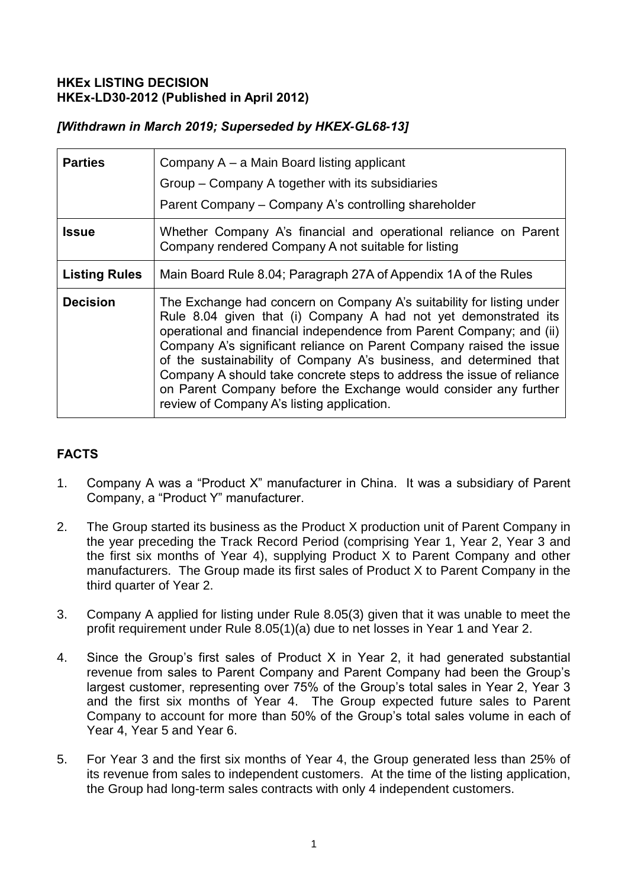## **HKEx LISTING DECISION HKEx-LD30-2012 (Published in April 2012)**

## *[Withdrawn in March 2019; Superseded by HKEX-GL68-13]*

| <b>Parties</b>       | Company A – a Main Board listing applicant<br>Group - Company A together with its subsidiaries<br>Parent Company - Company A's controlling shareholder                                                                                                                                                                                                                                                                                                                                                                                                   |
|----------------------|----------------------------------------------------------------------------------------------------------------------------------------------------------------------------------------------------------------------------------------------------------------------------------------------------------------------------------------------------------------------------------------------------------------------------------------------------------------------------------------------------------------------------------------------------------|
| <b>Issue</b>         | Whether Company A's financial and operational reliance on Parent<br>Company rendered Company A not suitable for listing                                                                                                                                                                                                                                                                                                                                                                                                                                  |
| <b>Listing Rules</b> | Main Board Rule 8.04; Paragraph 27A of Appendix 1A of the Rules                                                                                                                                                                                                                                                                                                                                                                                                                                                                                          |
| <b>Decision</b>      | The Exchange had concern on Company A's suitability for listing under<br>Rule 8.04 given that (i) Company A had not yet demonstrated its<br>operational and financial independence from Parent Company; and (ii)<br>Company A's significant reliance on Parent Company raised the issue<br>of the sustainability of Company A's business, and determined that<br>Company A should take concrete steps to address the issue of reliance<br>on Parent Company before the Exchange would consider any further<br>review of Company A's listing application. |

# **FACTS**

- 1. Company A was a "Product X" manufacturer in China. It was a subsidiary of Parent Company, a "Product Y" manufacturer.
- 2. The Group started its business as the Product X production unit of Parent Company in the year preceding the Track Record Period (comprising Year 1, Year 2, Year 3 and the first six months of Year 4), supplying Product X to Parent Company and other manufacturers. The Group made its first sales of Product X to Parent Company in the third quarter of Year 2.
- 3. Company A applied for listing under Rule 8.05(3) given that it was unable to meet the profit requirement under Rule 8.05(1)(a) due to net losses in Year 1 and Year 2.
- 4. Since the Group's first sales of Product X in Year 2, it had generated substantial revenue from sales to Parent Company and Parent Company had been the Group's largest customer, representing over 75% of the Group's total sales in Year 2, Year 3 and the first six months of Year 4. The Group expected future sales to Parent Company to account for more than 50% of the Group's total sales volume in each of Year 4, Year 5 and Year 6.
- 5. For Year 3 and the first six months of Year 4, the Group generated less than 25% of its revenue from sales to independent customers. At the time of the listing application, the Group had long-term sales contracts with only 4 independent customers.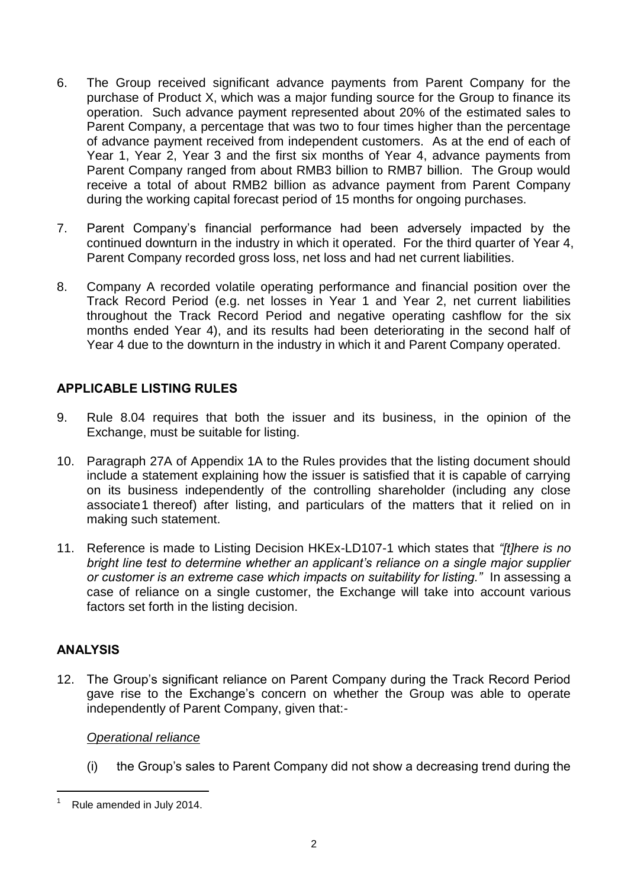- 6. The Group received significant advance payments from Parent Company for the purchase of Product X, which was a major funding source for the Group to finance its operation. Such advance payment represented about 20% of the estimated sales to Parent Company, a percentage that was two to four times higher than the percentage of advance payment received from independent customers. As at the end of each of Year 1, Year 2, Year 3 and the first six months of Year 4, advance payments from Parent Company ranged from about RMB3 billion to RMB7 billion. The Group would receive a total of about RMB2 billion as advance payment from Parent Company during the working capital forecast period of 15 months for ongoing purchases.
- 7. Parent Company's financial performance had been adversely impacted by the continued downturn in the industry in which it operated. For the third quarter of Year 4, Parent Company recorded gross loss, net loss and had net current liabilities.
- 8. Company A recorded volatile operating performance and financial position over the Track Record Period (e.g. net losses in Year 1 and Year 2, net current liabilities throughout the Track Record Period and negative operating cashflow for the six months ended Year 4), and its results had been deteriorating in the second half of Year 4 due to the downturn in the industry in which it and Parent Company operated.

## **APPLICABLE LISTING RULES**

- 9. Rule 8.04 requires that both the issuer and its business, in the opinion of the Exchange, must be suitable for listing.
- 10. Paragraph 27A of Appendix 1A to the Rules provides that the listing document should include a statement explaining how the issuer is satisfied that it is capable of carrying on its business independently of the controlling shareholder (including any close associate1 thereof) after listing, and particulars of the matters that it relied on in making such statement.
- 11. Reference is made to Listing Decision HKEx-LD107-1 which states that *"[t]here is no bright line test to determine whether an applicant's reliance on a single major supplier or customer is an extreme case which impacts on suitability for listing."* In assessing a case of reliance on a single customer, the Exchange will take into account various factors set forth in the listing decision.

#### **ANALYSIS**

12. The Group's significant reliance on Parent Company during the Track Record Period gave rise to the Exchange's concern on whether the Group was able to operate independently of Parent Company, given that:-

#### *Operational reliance*

(i) the Group's sales to Parent Company did not show a decreasing trend during the

<sup>-</sup>Rule amended in July 2014.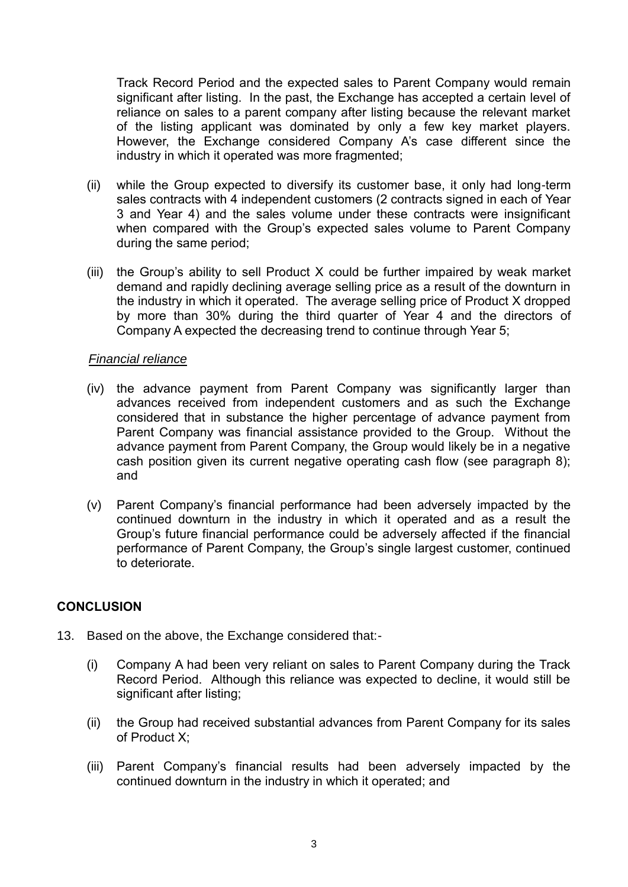Track Record Period and the expected sales to Parent Company would remain significant after listing. In the past, the Exchange has accepted a certain level of reliance on sales to a parent company after listing because the relevant market of the listing applicant was dominated by only a few key market players. However, the Exchange considered Company A's case different since the industry in which it operated was more fragmented;

- (ii) while the Group expected to diversify its customer base, it only had long-term sales contracts with 4 independent customers (2 contracts signed in each of Year 3 and Year 4) and the sales volume under these contracts were insignificant when compared with the Group's expected sales volume to Parent Company during the same period;
- (iii) the Group's ability to sell Product X could be further impaired by weak market demand and rapidly declining average selling price as a result of the downturn in the industry in which it operated. The average selling price of Product X dropped by more than 30% during the third quarter of Year 4 and the directors of Company A expected the decreasing trend to continue through Year 5;

#### *Financial reliance*

- (iv) the advance payment from Parent Company was significantly larger than advances received from independent customers and as such the Exchange considered that in substance the higher percentage of advance payment from Parent Company was financial assistance provided to the Group. Without the advance payment from Parent Company, the Group would likely be in a negative cash position given its current negative operating cash flow (see paragraph 8); and
- (v) Parent Company's financial performance had been adversely impacted by the continued downturn in the industry in which it operated and as a result the Group's future financial performance could be adversely affected if the financial performance of Parent Company, the Group's single largest customer, continued to deteriorate.

#### **CONCLUSION**

- 13. Based on the above, the Exchange considered that:-
	- (i) Company A had been very reliant on sales to Parent Company during the Track Record Period. Although this reliance was expected to decline, it would still be significant after listing;
	- (ii) the Group had received substantial advances from Parent Company for its sales of Product X;
	- (iii) Parent Company's financial results had been adversely impacted by the continued downturn in the industry in which it operated; and